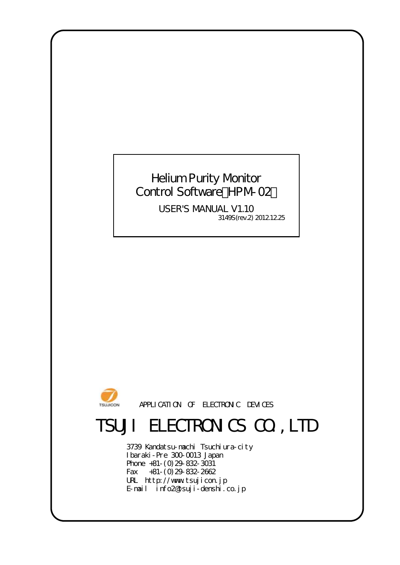### Helium Purity Monitor Control Software HPM-02

3149S(rev.2) 2012.12.25 USER'S MANUAL V1.10



APPLICATION OF ELECTRONIC DEVICES

# TSUJI ELECTRONICS CO., LTD

URL http://www.tsujicon.jp E-mail info2@tsuji-denshi.co.jp 3739 Kandatsu-machi Tsuchiura-city Ibaraki-Pre 300-0013 Japan Phone +81-(0)29-832-3031 Fax +81-(0)29-832-2662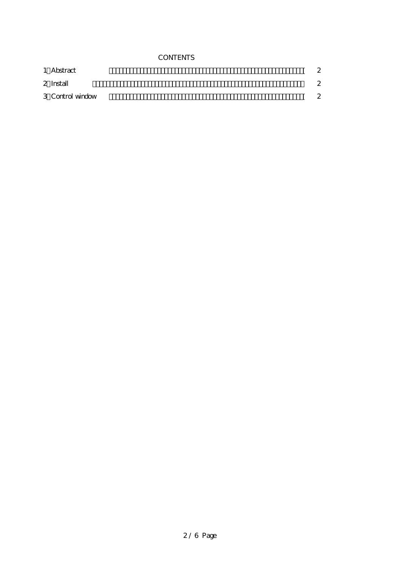#### **CONTENTS**

| 1 Abstract       | 2 |
|------------------|---|
| 2 Install        | 2 |
| 3 Control window | 2 |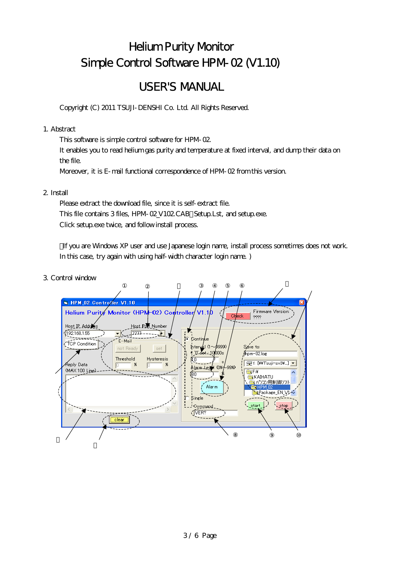## **Helium Purity Monitor** Simple Control Software HPM-02 (V1.10)

### **USER'S MANUAL**

Copyright (C) 2011 TSUJI- DENSHI Co. Ltd. All Rights Reserved.

#### 1. Abstract

This software is simple control software for HPM-02.

It enables you to read helium gas purity and temperature at fixed interval, and dump their data on the file.

Moreover, it is E- mail functional correspondence of HPM-02 from this version.

### 2. Install

Please extract the download file, since it is self-extract file. This file contains 3 files, HPM O2 V102 CAB Setup.Lst, and setup.exe. Click setup exe twice, and follow install process.

If you are Windows XP user and use Japanese login name, install process sometimes does not work. In this case, try again with using half-width character login name.)

### 3 Control window

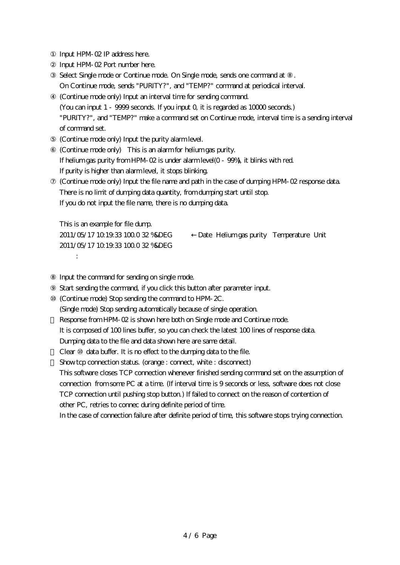Input HPM-02 IP address here. Input HPM-02 Port number here. Select Single mode or Continue mode. On Single mode, sends one command at On Continue mode, sends "PURITY?", and "TEMP?" command at periodical interval. ④ (Continue mode only) Input an interval time for sending command. (You can input 1 - 9999 seconds. If you input 0, it is regarded as 10000 seconds.) "PURITY?", and "TEMP?" make a command set on Continue mode, interval time is a sending interval of command set. ⑤ (Continue mode only) Input the purity alarm level. ⑥ (Continue mode only) This is an alarm for helium gas purity. If helium gas purity from HPM-02 is under alarm level(0 - 99%), it blinks with red. If purity is higher than alarm level, it stops blinking. (Continue mode only) Input the file name and path in the case of dumping HPM-02 response data. There is no limit of dumping data quantity, from dumping start until stop. If you do not input the file name, there is no dumping data.

This is an example for file dump. 2011/05/17 10:19:33 100.0 32 %&DEG :

2011/05/17 10:19:33 100.0 32 %&DEG ←Date Helium gas purity Temperature Unit

Input the command for sending on single mode.

Start sending the command, if you click this button after parameter input.

⑩ (Continue mode) Stop sending the command to HPM-2C.

(Single mode) Stop sending automatically because of single operation.

Response from HPM-02 is shown here both on Single mode and Continue mode.

It is composed of 100 lines buffer, so you can check the latest 100 lines of response data.

Dumping data to the file and data shown here are same detail.

Clear data buffer. It is no effect to the dumping data to the file.

Show tcp connection status. (orange : connect, white : disconnect)

This software closes TCP connection whenever finished sending command set on the assumption of connection from some PC at a time. (If interval time is 9 seconds or less, software does not close TCP connection until pushing stop button.) If failed to connect on the reason of contention of other PC, retries to connec during definite period of time.

In the case of connection failure after definite period of time, this software stops trying connection.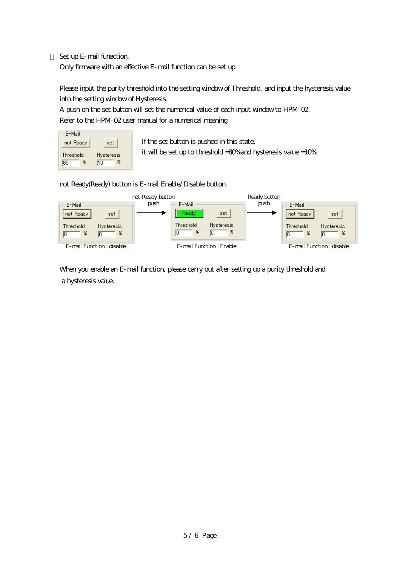Set up E-mail funaction. Only firmware with an effective E-mail function can be set up.

Please input the purity threshold into the setting window of Threshold, and input the hysteresis value into the setting window of Hysteresis.

A push on the set button will set the numerical value of each input window to HPM-02. Refer to the HPM-02 user manual for a numerical meaning

| E-Mail                |                              |
|-----------------------|------------------------------|
| not Ready             | set                          |
| Threshold<br>Ж<br>180 | <b>Hysteresis</b><br>x<br>10 |

If the set button is pushed in this state, it will be set up to threshold =80% and hysteresis value =10%.

not Ready(Ready) button is E-mail Enable/Disable button.



When you enable an E-mail function, please carry out after setting up a purity threshold and a hysteresis value.